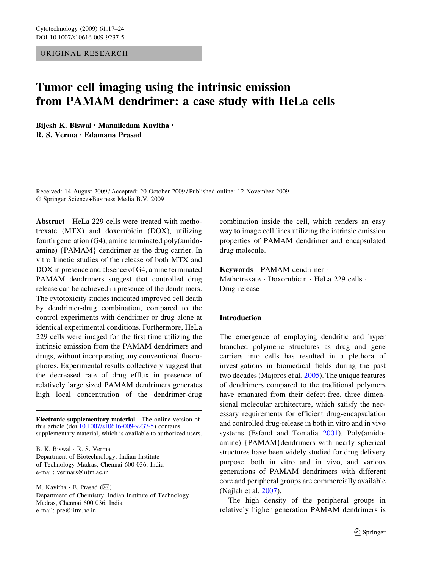# ORIGINAL RESEARCH

# Tumor cell imaging using the intrinsic emission from PAMAM dendrimer: a case study with HeLa cells

Bijesh K. Biswal • Manniledam Kavitha • R. S. Verma • Edamana Prasad

Received: 14 August 2009 / Accepted: 20 October 2009 / Published online: 12 November 2009 Springer Science+Business Media B.V. 2009

Abstract HeLa 229 cells were treated with methotrexate (MTX) and doxorubicin (DOX), utilizing fourth generation (G4), amine terminated poly(amidoamine) {PAMAM} dendrimer as the drug carrier. In vitro kinetic studies of the release of both MTX and DOX in presence and absence of G4, amine terminated PAMAM dendrimers suggest that controlled drug release can be achieved in presence of the dendrimers. The cytotoxicity studies indicated improved cell death by dendrimer-drug combination, compared to the control experiments with dendrimer or drug alone at identical experimental conditions. Furthermore, HeLa 229 cells were imaged for the first time utilizing the intrinsic emission from the PAMAM dendrimers and drugs, without incorporating any conventional fluorophores. Experimental results collectively suggest that the decreased rate of drug efflux in presence of relatively large sized PAMAM dendrimers generates high local concentration of the dendrimer-drug

Electronic supplementary material The online version of this article (doi[:10.1007/s10616-009-9237-5\)](http://dx.doi.org/10.1007/s10616-009-9237-5) contains supplementary material, which is available to authorized users.

B. K. Biswal · R. S. Verma Department of Biotechnology, Indian Institute of Technology Madras, Chennai 600 036, India e-mail: vermars@iitm.ac.in

M. Kavitha  $\cdot$  E. Prasad ( $\boxtimes$ ) Department of Chemistry, Indian Institute of Technology Madras, Chennai 600 036, India e-mail: pre@iitm.ac.in

combination inside the cell, which renders an easy way to image cell lines utilizing the intrinsic emission properties of PAMAM dendrimer and encapsulated drug molecule.

Keywords PAMAM dendrimer Methotrexate · Doxorubicin · HeLa 229 cells ·

Drug release

## Introduction

The emergence of employing dendritic and hyper branched polymeric structures as drug and gene carriers into cells has resulted in a plethora of investigations in biomedical fields during the past two decades (Majoros et al. [2005](#page-7-0)). The unique features of dendrimers compared to the traditional polymers have emanated from their defect-free, three dimensional molecular architecture, which satisfy the necessary requirements for efficient drug-encapsulation and controlled drug-release in both in vitro and in vivo systems (Esfand and Tomalia [2001\)](#page-6-0). Poly(amidoamine) {PAMAM}dendrimers with nearly spherical structures have been widely studied for drug delivery purpose, both in vitro and in vivo, and various generations of PAMAM dendrimers with different core and peripheral groups are commercially available (Najlah et al. [2007](#page-7-0)).

The high density of the peripheral groups in relatively higher generation PAMAM dendrimers is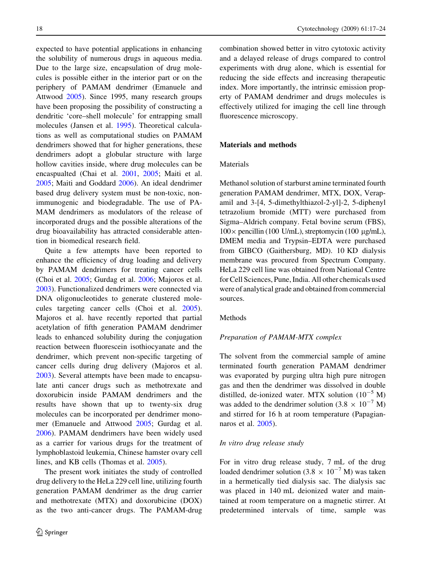expected to have potential applications in enhancing the solubility of numerous drugs in aqueous media. Due to the large size, encapsulation of drug molecules is possible either in the interior part or on the periphery of PAMAM dendrimer (Emanuele and Attwood [2005](#page-6-0)). Since 1995, many research groups have been proposing the possibility of constructing a dendritic 'core–shell molecule' for entrapping small molecules (Jansen et al. [1995\)](#page-7-0). Theoretical calculations as well as computational studies on PAMAM dendrimers showed that for higher generations, these dendrimers adopt a globular structure with large hollow cavities inside, where drug molecules can be encaspualted (Chai et al. [2001,](#page-6-0) [2005;](#page-6-0) Maiti et al. [2005;](#page-7-0) Maiti and Goddard [2006\)](#page-7-0). An ideal dendrimer based drug delivery system must be non-toxic, nonimmunogenic and biodegradable. The use of PA-MAM dendrimers as modulators of the release of incorporated drugs and the possible alterations of the drug bioavailability has attracted considerable attention in biomedical research field.

Quite a few attempts have been reported to enhance the efficiency of drug loading and delivery by PAMAM dendrimers for treating cancer cells (Choi et al. [2005](#page-6-0); Gurdag et al. [2006](#page-7-0); Majoros et al. [2003\)](#page-7-0). Functionalized dendrimers were connected via DNA oligonucleotides to generate clustered molecules targeting cancer cells (Choi et al. [2005](#page-6-0)). Majoros et al. have recently reported that partial acetylation of fifth generation PAMAM dendrimer leads to enhanced solubility during the conjugation reaction between fluorescein isothiocyanate and the dendrimer, which prevent non-specific targeting of cancer cells during drug delivery (Majoros et al. [2003\)](#page-7-0). Several attempts have been made to encapsulate anti cancer drugs such as methotrexate and doxorubicin inside PAMAM dendrimers and the results have shown that up to twenty-six drug molecules can be incorporated per dendrimer monomer (Emanuele and Attwood [2005](#page-6-0); Gurdag et al. [2006\)](#page-7-0). PAMAM dendrimers have been widely used as a carrier for various drugs for the treatment of lymphoblastoid leukemia, Chinese hamster ovary cell lines, and KB cells (Thomas et al. [2005\)](#page-7-0).

The present work initiates the study of controlled drug delivery to the HeLa 229 cell line, utilizing fourth generation PAMAM dendrimer as the drug carrier and methotrexate (MTX) and doxorubicine (DOX) as the two anti-cancer drugs. The PAMAM-drug combination showed better in vitro cytotoxic activity and a delayed release of drugs compared to control experiments with drug alone, which is essential for reducing the side effects and increasing therapeutic index. More importantly, the intrinsic emission property of PAMAM dendrimer and drugs molecules is effectively utilized for imaging the cell line through fluorescence microscopy.

# Materials and methods

# Materials

Methanol solution of starburst amine terminated fourth generation PAMAM dendrimer, MTX, DOX, Verapamil and 3-[4, 5-dimethylthiazol-2-yl]-2, 5-diphenyl tetrazolium bromide (MTT) were purchased from Sigma–Aldrich company. Fetal bovine serum (FBS),  $100 \times$  pencillin (100 U/mL), streptomycin (100 µg/mL), DMEM media and Trypsin–EDTA were purchased from GIBCO (Gaithersburg, MD). 10 KD dialysis membrane was procured from Spectrum Company. HeLa 229 cell line was obtained from National Centre for Cell Sciences, Pune, India. All other chemicals used were of analytical grade and obtained from commercial sources.

### **Methods**

#### Preparation of PAMAM-MTX complex

The solvent from the commercial sample of amine terminated fourth generation PAMAM dendrimer was evaporated by purging ultra high pure nitrogen gas and then the dendrimer was dissolved in double distilled, de-ionized water. MTX solution  $(10^{-5}$  M) was added to the dendrimer solution (3.8  $\times$  10<sup>-7</sup> M) and stirred for 16 h at room temperature (Papagiannaros et al. [2005](#page-7-0)).

#### In vitro drug release study

For in vitro drug release study, 7 mL of the drug loaded dendrimer solution (3.8  $\times$  10<sup>-7</sup> M) was taken in a hermetically tied dialysis sac. The dialysis sac was placed in 140 mL deionized water and maintained at room temperature on a magnetic stirrer. At predetermined intervals of time, sample was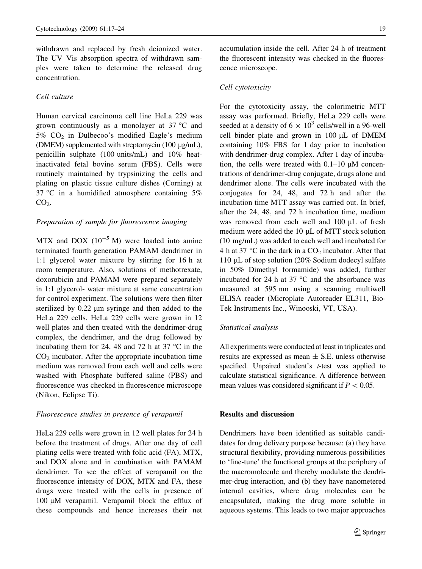withdrawn and replaced by fresh deionized water. The UV–Vis absorption spectra of withdrawn samples were taken to determine the released drug concentration.

# Cell culture

Human cervical carcinoma cell line HeLa 229 was grown continuously as a monolayer at  $37 °C$  and 5% CO2 in Dulbecoo's modified Eagle's medium (DMEM) supplemented with streptomycin (100 µg/mL), penicillin sulphate (100 units/mL) and 10% heatinactivated fetal bovine serum (FBS). Cells were routinely maintained by trypsinizing the cells and plating on plastic tissue culture dishes (Corning) at 37 °C in a humidified atmosphere containing  $5\%$  $CO<sub>2</sub>$ .

## Preparation of sample for fluorescence imaging

MTX and DOX  $(10^{-5} \text{ M})$  were loaded into amine terminated fourth generation PAMAM dendrimer in 1:1 glycerol water mixture by stirring for 16 h at room temperature. Also, solutions of methotrexate, doxorubicin and PAMAM were prepared separately in 1:1 glycerol- water mixture at same concentration for control experiment. The solutions were then filter sterilized by 0.22  $\mu$ m syringe and then added to the HeLa 229 cells. HeLa 229 cells were grown in 12 well plates and then treated with the dendrimer-drug complex, the dendrimer, and the drug followed by incubating them for 24, 48 and 72 h at 37  $\degree$ C in the  $CO<sub>2</sub>$  incubator. After the appropriate incubation time medium was removed from each well and cells were washed with Phosphate buffered saline (PBS) and fluorescence was checked in fluorescence microscope (Nikon, Eclipse Ti).

#### Fluorescence studies in presence of verapamil

HeLa 229 cells were grown in 12 well plates for 24 h before the treatment of drugs. After one day of cell plating cells were treated with folic acid (FA), MTX, and DOX alone and in combination with PAMAM dendrimer. To see the effect of verapamil on the fluorescence intensity of DOX, MTX and FA, these drugs were treated with the cells in presence of 100  $\mu$ M verapamil. Verapamil block the efflux of these compounds and hence increases their net

accumulation inside the cell. After 24 h of treatment the fluorescent intensity was checked in the fluorescence microscope.

#### Cell cytotoxicity

For the cytotoxicity assay, the colorimetric MTT assay was performed. Briefly, HeLa 229 cells were seeded at a density of  $6 \times 10^3$  cells/well in a 96-well cell binder plate and grown in  $100 \mu L$  of DMEM containing 10% FBS for 1 day prior to incubation with dendrimer-drug complex. After 1 day of incubation, the cells were treated with  $0.1-10 \mu M$  concentrations of dendrimer-drug conjugate, drugs alone and dendrimer alone. The cells were incubated with the conjugates for 24, 48, and 72 h and after the incubation time MTT assay was carried out. In brief, after the 24, 48, and 72 h incubation time, medium was removed from each well and 100 µL of fresh medium were added the  $10 \mu L$  of MTT stock solution (10 mg/mL) was added to each well and incubated for 4 h at 37  $\degree$ C in the dark in a CO<sub>2</sub> incubator. After that 110  $\mu$ L of stop solution (20% Sodium dodecyl sulfate in 50% Dimethyl formamide) was added, further incubated for 24 h at 37  $\degree$ C and the absorbance was measured at 595 nm using a scanning multiwell ELISA reader (Microplate Autoreader EL311, Bio-Tek Instruments Inc., Winooski, VT, USA).

#### Statistical analysis

All experiments were conducted at least in triplicates and results are expressed as mean  $\pm$  S.E. unless otherwise specified. Unpaired student's *t*-test was applied to calculate statistical significance. A difference between mean values was considered significant if  $P < 0.05$ .

## Results and discussion

Dendrimers have been identified as suitable candidates for drug delivery purpose because: (a) they have structural flexibility, providing numerous possibilities to 'fine-tune' the functional groups at the periphery of the macromolecule and thereby modulate the dendrimer-drug interaction, and (b) they have nanometered internal cavities, where drug molecules can be encapsulated, making the drug more soluble in aqueous systems. This leads to two major approaches

 $\textcircled{2}$  Springer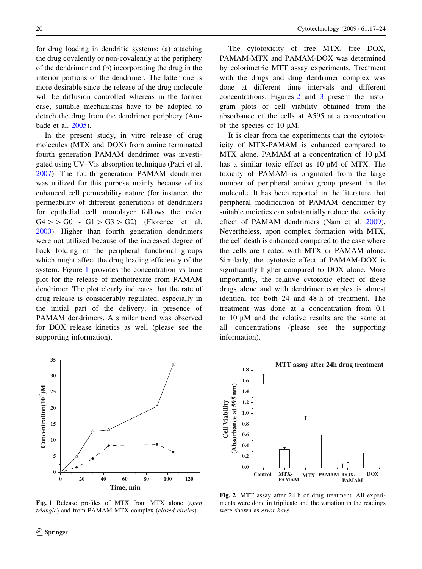for drug loading in dendritic systems; (a) attaching the drug covalently or non-covalently at the periphery of the dendrimer and (b) incorporating the drug in the interior portions of the dendrimer. The latter one is more desirable since the release of the drug molecule will be diffusion controlled whereas in the former case, suitable mechanisms have to be adopted to detach the drug from the dendrimer periphery (Ambade et al. [2005\)](#page-6-0).

In the present study, in vitro release of drug molecules (MTX and DOX) from amine terminated fourth generation PAMAM dendrimer was investigated using UV–Vis absorption technique (Patri et al. [2007\)](#page-7-0). The fourth generation PAMAM dendrimer was utilized for this purpose mainly because of its enhanced cell permeability nature (for instance, the permeability of different generations of dendrimers for epithelial cell monolayer follows the order  $G4$  > >  $G0 \sim G1$  >  $G3$  >  $G2$ ) (Florence et al. [2000\)](#page-6-0). Higher than fourth generation dendrimers were not utilized because of the increased degree of back folding of the peripheral functional groups which might affect the drug loading efficiency of the system. Figure 1 provides the concentration vs time plot for the release of methotrexate from PAMAM dendrimer. The plot clearly indicates that the rate of drug release is considerably regulated, especially in the initial part of the delivery, in presence of PAMAM dendrimers. A similar trend was observed for DOX release kinetics as well (please see the supporting information).



Fig. 1 Release profiles of MTX from MTX alone (open triangle) and from PAMAM-MTX complex (closed circles)

The cytotoxicity of free MTX, free DOX, PAMAM-MTX and PAMAM-DOX was determined by colorimetric MTT assay experiments. Treatment with the drugs and drug dendrimer complex was done at different time intervals and different concentrations. Figures 2 and [3](#page-4-0) present the histogram plots of cell viability obtained from the absorbance of the cells at A595 at a concentration of the species of  $10 \mu M$ .

It is clear from the experiments that the cytotoxicity of MTX-PAMAM is enhanced compared to MTX alone. PAMAM at a concentration of  $10 \mu$ M has a similar toxic effect as  $10 \mu M$  of MTX. The toxicity of PAMAM is originated from the large number of peripheral amino group present in the molecule. It has been reported in the literature that peripheral modification of PAMAM dendrimer by suitable moieties can substantially reduce the toxicity effect of PAMAM dendrimers (Nam et al. [2009](#page-7-0)). Nevertheless, upon complex formation with MTX, the cell death is enhanced compared to the case where the cells are treated with MTX or PAMAM alone. Similarly, the cytotoxic effect of PAMAM-DOX is significantly higher compared to DOX alone. More importantly, the relative cytotoxic effect of these drugs alone and with dendrimer complex is almost identical for both 24 and 48 h of treatment. The treatment was done at a concentration from 0.1 to  $10 \mu M$  and the relative results are the same at all concentrations (please see the supporting information).



Fig. 2 MTT assay after 24 h of drug treatment. All experiments were done in triplicate and the variation in the readings were shown as error bars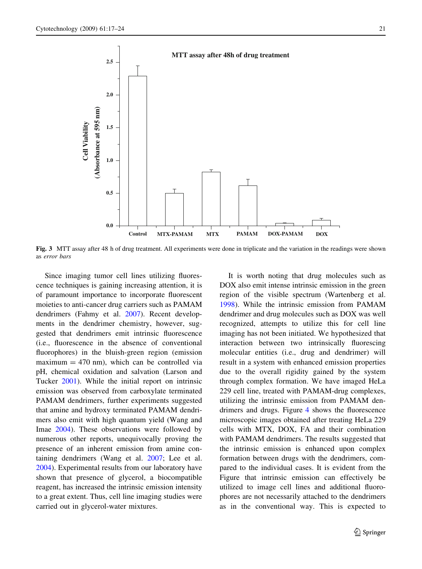<span id="page-4-0"></span>

Fig. 3 MTT assay after 48 h of drug treatment. All experiments were done in triplicate and the variation in the readings were shown as error bars

Since imaging tumor cell lines utilizing fluorescence techniques is gaining increasing attention, it is of paramount importance to incorporate fluorescent moieties to anti-cancer drug carriers such as PAMAM dendrimers (Fahmy et al. [2007](#page-6-0)). Recent developments in the dendrimer chemistry, however, suggested that dendrimers emit intrinsic fluorescence (i.e., fluorescence in the absence of conventional fluorophores) in the bluish-green region (emission maximum  $= 470$  nm), which can be controlled via pH, chemical oxidation and salvation (Larson and Tucker [2001](#page-7-0)). While the initial report on intrinsic emission was observed from carboxylate terminated PAMAM dendrimers, further experiments suggested that amine and hydroxy terminated PAMAM dendrimers also emit with high quantum yield (Wang and Imae [2004\)](#page-7-0). These observations were followed by numerous other reports, unequivocally proving the presence of an inherent emission from amine containing dendrimers (Wang et al. [2007](#page-7-0); Lee et al. [2004\)](#page-7-0). Experimental results from our laboratory have shown that presence of glycerol, a biocompatible reagent, has increased the intrinsic emission intensity to a great extent. Thus, cell line imaging studies were carried out in glycerol-water mixtures.

It is worth noting that drug molecules such as DOX also emit intense intrinsic emission in the green region of the visible spectrum (Wartenberg et al. [1998\)](#page-7-0). While the intrinsic emission from PAMAM dendrimer and drug molecules such as DOX was well recognized, attempts to utilize this for cell line imaging has not been initiated. We hypothesized that interaction between two intrinsically fluorescing molecular entities (i.e., drug and dendrimer) will result in a system with enhanced emission properties due to the overall rigidity gained by the system through complex formation. We have imaged HeLa 229 cell line, treated with PAMAM-drug complexes, utilizing the intrinsic emission from PAMAM dendrimers and drugs. Figure [4](#page-5-0) shows the fluorescence microscopic images obtained after treating HeLa 229 cells with MTX, DOX, FA and their combination with PAMAM dendrimers. The results suggested that the intrinsic emission is enhanced upon complex formation between drugs with the dendrimers, compared to the individual cases. It is evident from the Figure that intrinsic emission can effectively be utilized to image cell lines and additional fluorophores are not necessarily attached to the dendrimers as in the conventional way. This is expected to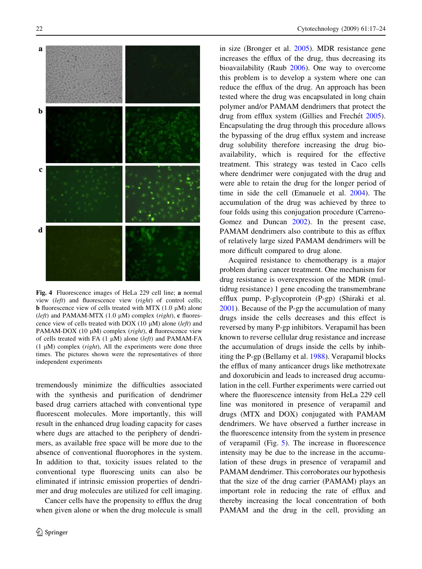<span id="page-5-0"></span>

Fig. 4 Fluorescence images of HeLa 229 cell line; a normal view (left) and fluorescence view (right) of control cells; **b** fluorescence view of cells treated with MTX  $(1.0 \mu M)$  alone (left) and PAMAM-MTX (1.0  $\mu$ M) complex (right), c fluorescence view of cells treated with DOX (10  $\mu$ M) alone (*left*) and PAMAM-DOX (10  $\mu$ M) complex (*right*), **d** fluorescence view of cells treated with FA  $(1 \mu M)$  alone (left) and PAMAM-FA (1  $\mu$ M) complex (*right*), All the experiments were done three times. The pictures shown were the representatives of three independent experiments

tremendously minimize the difficulties associated with the synthesis and purification of dendrimer based drug carriers attached with conventional type fluorescent molecules. More importantly, this will result in the enhanced drug loading capacity for cases where dugs are attached to the periphery of dendrimers, as available free space will be more due to the absence of conventional fluorophores in the system. In addition to that, toxicity issues related to the conventional type fluorescing units can also be eliminated if intrinsic emission properties of dendrimer and drug molecules are utilized for cell imaging.

Cancer cells have the propensity to efflux the drug when given alone or when the drug molecule is small in size (Bronger et al. [2005](#page-6-0)). MDR resistance gene increases the efflux of the drug, thus decreasing its bioavailability (Raub [2006](#page-7-0)). One way to overcome this problem is to develop a system where one can reduce the efflux of the drug. An approach has been tested where the drug was encapsulated in long chain polymer and/or PAMAM dendrimers that protect the drug from efflux system (Gillies and Frechet [2005](#page-7-0)). Encapsulating the drug through this procedure allows the bypassing of the drug efflux system and increase drug solubility therefore increasing the drug bioavailability, which is required for the effective treatment. This strategy was tested in Caco cells where dendrimer were conjugated with the drug and were able to retain the drug for the longer period of time in side the cell (Emanuele et al. [2004\)](#page-6-0). The accumulation of the drug was achieved by three to four folds using this conjugation procedure (Carreno-Gomez and Duncan [2002](#page-6-0)). In the present case, PAMAM dendrimers also contribute to this as efflux of relatively large sized PAMAM dendrimers will be more difficult compared to drug alone.

Acquired resistance to chemotherapy is a major problem during cancer treatment. One mechanism for drug resistance is overexpression of the MDR (multidrug resistance) 1 gene encoding the transmembrane efflux pump, P-glycoprotein (P-gp) (Shiraki et al. [2001\)](#page-7-0). Because of the P-gp the accumulation of many drugs inside the cells decreases and this effect is reversed by many P-gp inhibitors. Verapamil has been known to reverse cellular drug resistance and increase the accumulation of drugs inside the cells by inhibiting the P-gp (Bellamy et al. [1988\)](#page-6-0). Verapamil blocks the efflux of many anticancer drugs like methotrexate and doxorubicin and leads to increased drug accumulation in the cell. Further experiments were carried out where the fluorescence intensity from HeLa 229 cell line was monitored in presence of verapamil and drugs (MTX and DOX) conjugated with PAMAM dendrimers. We have observed a further increase in the fluorescence intensity from the system in presence of verapamil (Fig. [5\)](#page-6-0). The increase in fluorescence intensity may be due to the increase in the accumulation of these drugs in presence of verapamil and PAMAM dendrimer. This corroborates our hypothesis that the size of the drug carrier (PAMAM) plays an important role in reducing the rate of efflux and thereby increasing the local concentration of both PAMAM and the drug in the cell, providing an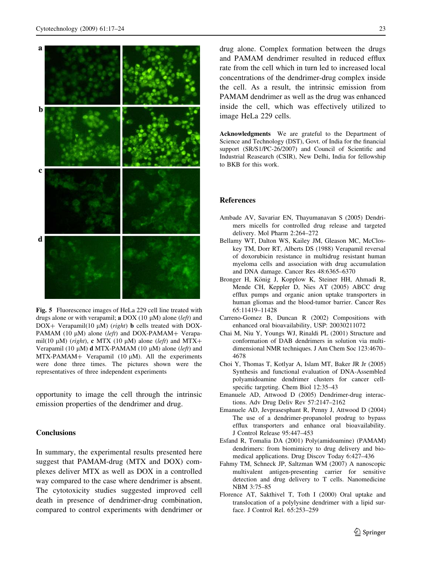<span id="page-6-0"></span>

Fig. 5 Fluorescence images of HeLa 229 cell line treated with drugs alone or with verapamil; a DOX (10  $\mu$ M) alone (*left*) and DOX+ Verapamil(10  $\mu$ M) (*right*) **b** cells treated with DOX-PAMAM (10  $\mu$ M) alone (*left*) and DOX-PAMAM+ Verapamil(10  $\mu$ M) (*right*), c MTX (10  $\mu$ M) alone (*left*) and MTX+ Verapamil (10  $\mu$ M) **d** MTX-PAMAM (10  $\mu$ M) alone (*left*) and  $MTX-PAMAM+$  Verapamil (10  $\mu$ M). All the experiments were done three times. The pictures shown were the representatives of three independent experiments

opportunity to image the cell through the intrinsic emission properties of the dendrimer and drug.

## **Conclusions**

In summary, the experimental results presented here suggest that PAMAM-drug (MTX and DOX) complexes deliver MTX as well as DOX in a controlled way compared to the case where dendrimer is absent. The cytotoxicity studies suggested improved cell death in presence of dendrimer-drug combination, compared to control experiments with dendrimer or drug alone. Complex formation between the drugs and PAMAM dendrimer resulted in reduced efflux rate from the cell which in turn led to increased local concentrations of the dendrimer-drug complex inside the cell. As a result, the intrinsic emission from PAMAM dendrimer as well as the drug was enhanced inside the cell, which was effectively utilized to image HeLa 229 cells.

Acknowledgments We are grateful to the Department of Science and Technology (DST), Govt. of India for the financial support (SR/S1/PC-26/2007) and Council of Scientific and Industrial Reasearch (CSIR), New Delhi, India for fellowship to BKB for this work.

## References

- Ambade AV, Savariar EN, Thayumanavan S (2005) Dendrimers micells for controlled drug release and targeted delivery. Mol Pharm 2:264–272
- Bellamy WT, Dalton WS, Kailey JM, Gleason MC, McCloskey TM, Dorr RT, Alberts DS (1988) Verapamil reversal of doxorubicin resistance in multidrug resistant human myeloma cells and association with drug accumulation and DNA damage. Cancer Res 48:6365–6370
- Bronger H, König J, Kopplow K, Steiner HH, Ahmadi R, Mende CH, Keppler D, Nies AT (2005) ABCC drug efflux pumps and organic anion uptake transporters in human gliomas and the blood-tumor barrier. Cancer Res 65:11419–11428
- Carreno-Gomez B, Duncan R (2002) Compositions with enhanced oral bioavailability, USP: 20030211072
- Chai M, Niu Y, Youngs WJ, Rinaldi PL (2001) Structure and conformation of DAB dendrimers in solution via multidimensional NMR techniques. J Am Chem Soc 123:4670– 4678
- Choi Y, Thomas T, Kotlyar A, Islam MT, Baker JR Jr (2005) Synthesis and functional evaluation of DNA-Assembled polyamidoamine dendrimer clusters for cancer cellspecific targeting. Chem Biol 12:35–43
- Emanuele AD, Attwood D (2005) Dendrimer-drug interactions. Adv Drug Deliv Rev 57:2147–2162
- Emanuele AD, Jevprasesphant R, Penny J, Attwood D (2004) The use of a dendrimer-propanolol prodrug to bypass efflux transporters and enhance oral bioavailability. J Control Release 95:447–453
- Esfand R, Tomalia DA (2001) Poly(amidoamine) (PAMAM) dendrimers: from biomimicry to drug delivery and biomedical applications. Drug Discov Today 6:427–436
- Fahmy TM, Schneck JP, Saltzman WM (2007) A nanoscopic multivalent antigen-presenting carrier for sensitive detection and drug delivery to T cells. Nanomedicine NBM 3:75–85
- Florence AT, Sakthivel T, Toth I (2000) Oral uptake and translocation of a polylysine dendrimer with a lipid surface. J Control Rel. 65:253–259